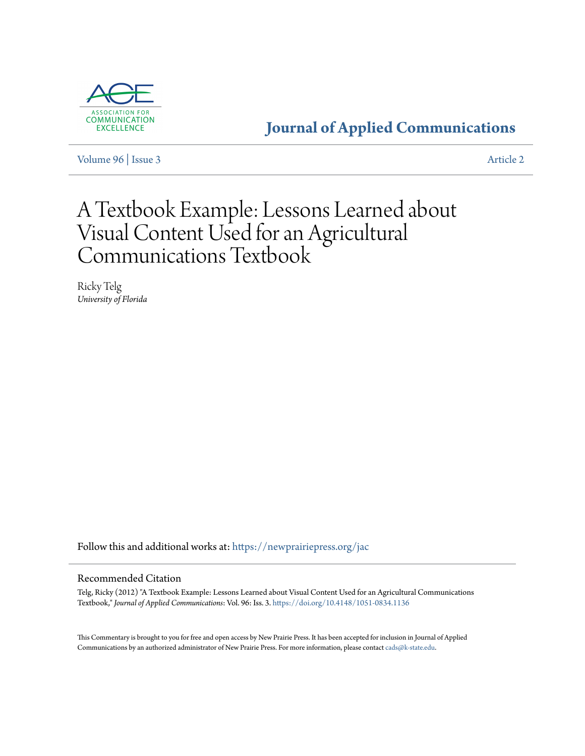

## **[Journal of Applied Communications](https://newprairiepress.org/jac?utm_source=newprairiepress.org%2Fjac%2Fvol96%2Fiss3%2F2&utm_medium=PDF&utm_campaign=PDFCoverPages)**

[Volume 96](https://newprairiepress.org/jac/vol96?utm_source=newprairiepress.org%2Fjac%2Fvol96%2Fiss3%2F2&utm_medium=PDF&utm_campaign=PDFCoverPages) | [Issue 3](https://newprairiepress.org/jac/vol96/iss3?utm_source=newprairiepress.org%2Fjac%2Fvol96%2Fiss3%2F2&utm_medium=PDF&utm_campaign=PDFCoverPages) [Article 2](https://newprairiepress.org/jac/vol96/iss3/2?utm_source=newprairiepress.org%2Fjac%2Fvol96%2Fiss3%2F2&utm_medium=PDF&utm_campaign=PDFCoverPages)

# A Textbook Example: Lessons Learned about Visual Content Used for an Agricultural Communications Textbook

Ricky Telg *University of Florida*

Follow this and additional works at: [https://newprairiepress.org/jac](https://newprairiepress.org/jac?utm_source=newprairiepress.org%2Fjac%2Fvol96%2Fiss3%2F2&utm_medium=PDF&utm_campaign=PDFCoverPages)

#### Recommended Citation

Telg, Ricky (2012) "A Textbook Example: Lessons Learned about Visual Content Used for an Agricultural Communications Textbook," *Journal of Applied Communications*: Vol. 96: Iss. 3. <https://doi.org/10.4148/1051-0834.1136>

This Commentary is brought to you for free and open access by New Prairie Press. It has been accepted for inclusion in Journal of Applied Communications by an authorized administrator of New Prairie Press. For more information, please contact [cads@k-state.edu](mailto:cads@k-state.edu).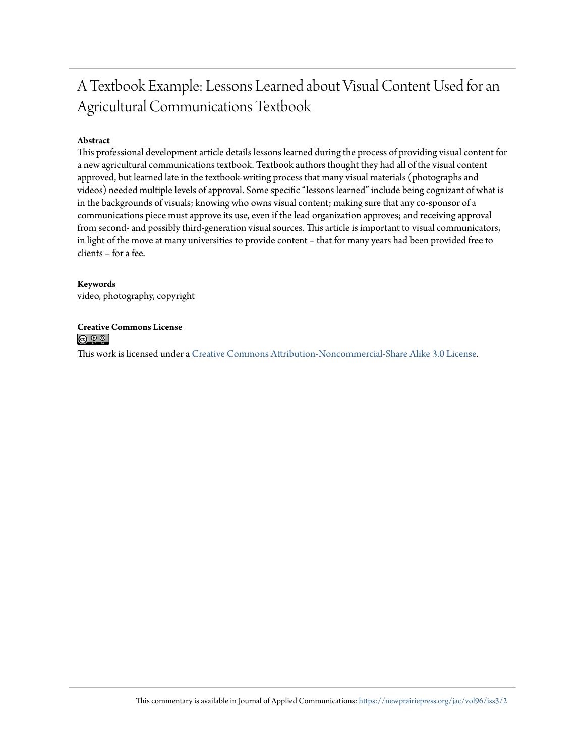## A Textbook Example: Lessons Learned about Visual Content Used for an Agricultural Communications Textbook

#### **Abstract**

This professional development article details lessons learned during the process of providing visual content for a new agricultural communications textbook. Textbook authors thought they had all of the visual content approved, but learned late in the textbook-writing process that many visual materials (photographs and videos) needed multiple levels of approval. Some specific "lessons learned" include being cognizant of what is in the backgrounds of visuals; knowing who owns visual content; making sure that any co-sponsor of a communications piece must approve its use, even if the lead organization approves; and receiving approval from second- and possibly third-generation visual sources. This article is important to visual communicators, in light of the move at many universities to provide content – that for many years had been provided free to clients – for a fee.

#### **Keywords**

video, photography, copyright

# **Creative Commons License**<br> **<b>@** 0 0

This work is licensed under a [Creative Commons Attribution-Noncommercial-Share Alike 3.0 License.](https://creativecommons.org/licenses/by-nc-sa/3.0/)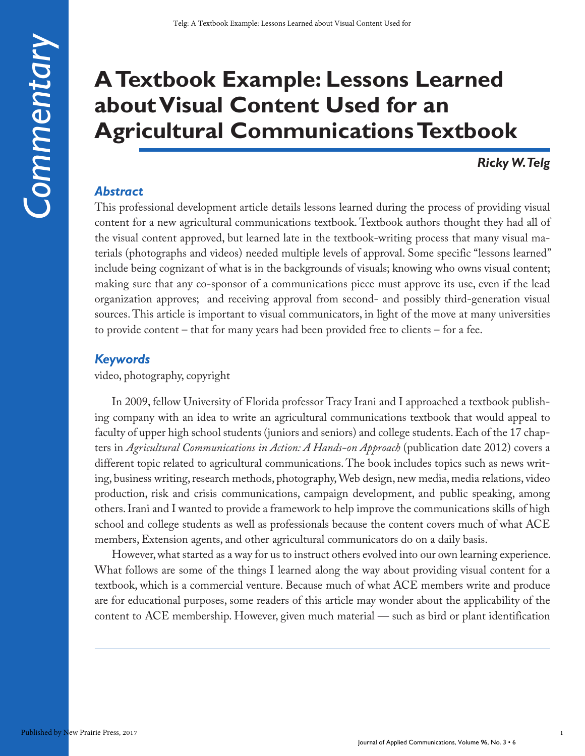# **A Textbook Example: Lessons Learned about Visual Content Used for an Agricultural Communications Textbook**

### *Ricky W. Telg*

#### *Abstract*

This professional development article details lessons learned during the process of providing visual content for a new agricultural communications textbook. Textbook authors thought they had all of the visual content approved, but learned late in the textbook-writing process that many visual materials (photographs and videos) needed multiple levels of approval. Some specific "lessons learned" include being cognizant of what is in the backgrounds of visuals; knowing who owns visual content; making sure that any co-sponsor of a communications piece must approve its use, even if the lead organization approves; and receiving approval from second- and possibly third-generation visual sources. This article is important to visual communicators, in light of the move at many universities to provide content – that for many years had been provided free to clients – for a fee.

#### *Keywords*

video, photography, copyright

In 2009, fellow University of Florida professor Tracy Irani and I approached a textbook publishing company with an idea to write an agricultural communications textbook that would appeal to faculty of upper high school students (juniors and seniors) and college students. Each of the 17 chapters in *Agricultural Communications in Action: A Hands-on Approach* (publication date 2012) covers a different topic related to agricultural communications. The book includes topics such as news writing, business writing, research methods, photography, Web design, new media, media relations, video production, risk and crisis communications, campaign development, and public speaking, among others. Irani and I wanted to provide a framework to help improve the communications skills of high school and college students as well as professionals because the content covers much of what ACE members, Extension agents, and other agricultural communicators do on a daily basis.

However, what started as a way for us to instruct others evolved into our own learning experience. What follows are some of the things I learned along the way about providing visual content for a textbook, which is a commercial venture. Because much of what ACE members write and produce are for educational purposes, some readers of this article may wonder about the applicability of the content to ACE membership. However, given much material — such as bird or plant identification

1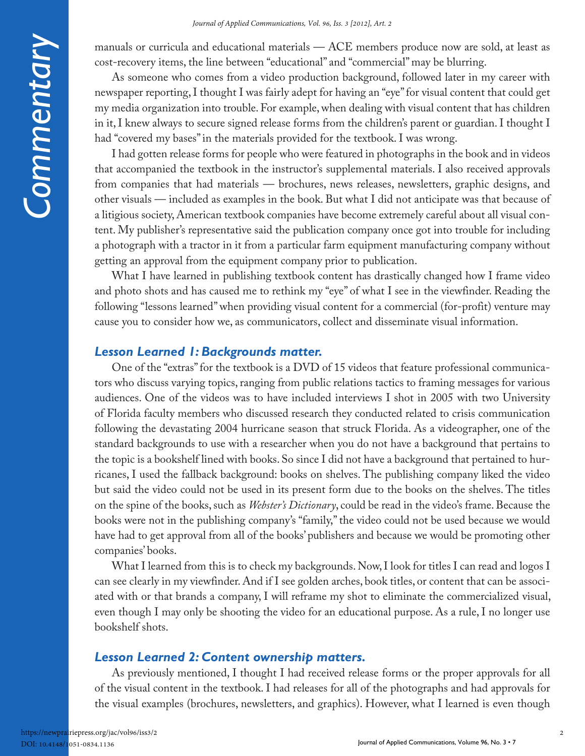manuals or curricula and educational materials — ACE members produce now are sold, at least as cost-recovery items, the line between "educational" and "commercial" may be blurring.

As someone who comes from a video production background, followed later in my career with newspaper reporting, I thought I was fairly adept for having an "eye" for visual content that could get my media organization into trouble. For example, when dealing with visual content that has children in it, I knew always to secure signed release forms from the children's parent or guardian. I thought I had "covered my bases" in the materials provided for the textbook. I was wrong.

I had gotten release forms for people who were featured in photographs in the book and in videos that accompanied the textbook in the instructor's supplemental materials. I also received approvals from companies that had materials — brochures, news releases, newsletters, graphic designs, and other visuals — included as examples in the book. But what I did not anticipate was that because of a litigious society, American textbook companies have become extremely careful about all visual content. My publisher's representative said the publication company once got into trouble for including a photograph with a tractor in it from a particular farm equipment manufacturing company without getting an approval from the equipment company prior to publication.

What I have learned in publishing textbook content has drastically changed how I frame video and photo shots and has caused me to rethink my "eye" of what I see in the viewfinder. Reading the following "lessons learned" when providing visual content for a commercial (for-profit) venture may cause you to consider how we, as communicators, collect and disseminate visual information.

#### *Lesson Learned 1: Backgrounds matter.*

One of the "extras" for the textbook is a DVD of 15 videos that feature professional communicators who discuss varying topics, ranging from public relations tactics to framing messages for various audiences. One of the videos was to have included interviews I shot in 2005 with two University of Florida faculty members who discussed research they conducted related to crisis communication following the devastating 2004 hurricane season that struck Florida. As a videographer, one of the standard backgrounds to use with a researcher when you do not have a background that pertains to the topic is a bookshelf lined with books. So since I did not have a background that pertained to hurricanes, I used the fallback background: books on shelves. The publishing company liked the video but said the video could not be used in its present form due to the books on the shelves. The titles on the spine of the books, such as *Webster's Dictionary*, could be read in the video's frame. Because the books were not in the publishing company's "family," the video could not be used because we would have had to get approval from all of the books' publishers and because we would be promoting other companies' books.

What I learned from this is to check my backgrounds. Now, I look for titles I can read and logos I can see clearly in my viewfinder. And if I see golden arches, book titles, or content that can be associated with or that brands a company, I will reframe my shot to eliminate the commercialized visual, even though I may only be shooting the video for an educational purpose. As a rule, I no longer use bookshelf shots.

#### *Lesson Learned 2: Content ownership matters.*

As previously mentioned, I thought I had received release forms or the proper approvals for all of the visual content in the textbook. I had releases for all of the photographs and had approvals for the visual examples (brochures, newsletters, and graphics). However, what I learned is even though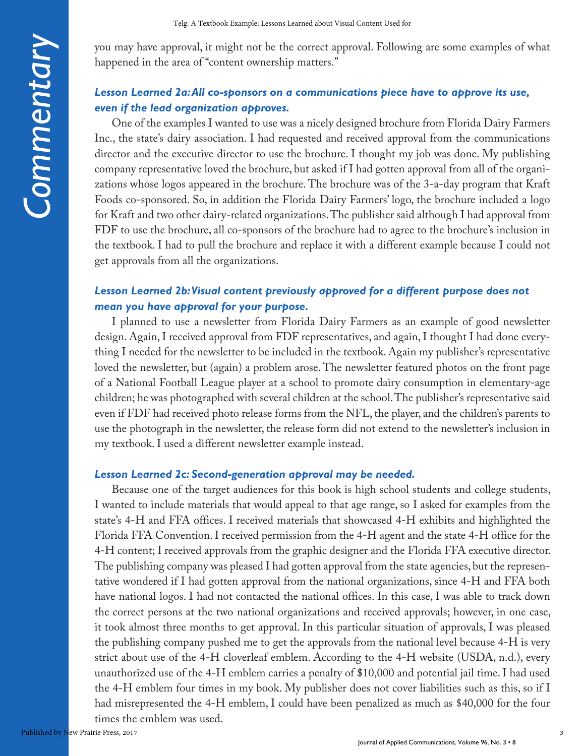Commentary *Commentary*

you may have approval, it might not be the correct approval. Following are some examples of what happened in the area of "content ownership matters."

### *Lesson Learned 2a: All co-sponsors on a communications piece have to approve its use, even if the lead organization approves.*

One of the examples I wanted to use was a nicely designed brochure from Florida Dairy Farmers Inc., the state's dairy association. I had requested and received approval from the communications director and the executive director to use the brochure. I thought my job was done. My publishing company representative loved the brochure, but asked if I had gotten approval from all of the organizations whose logos appeared in the brochure. The brochure was of the 3-a-day program that Kraft Foods co-sponsored. So, in addition the Florida Dairy Farmers' logo, the brochure included a logo for Kraft and two other dairy-related organizations. The publisher said although I had approval from FDF to use the brochure, all co-sponsors of the brochure had to agree to the brochure's inclusion in the textbook. I had to pull the brochure and replace it with a different example because I could not get approvals from all the organizations.

#### *Lesson Learned 2b: Visual content previously approved for a different purpose does not mean you have approval for your purpose.*

I planned to use a newsletter from Florida Dairy Farmers as an example of good newsletter design. Again, I received approval from FDF representatives, and again, I thought I had done everything I needed for the newsletter to be included in the textbook. Again my publisher's representative loved the newsletter, but (again) a problem arose. The newsletter featured photos on the front page of a National Football League player at a school to promote dairy consumption in elementary-age children; he was photographed with several children at the school. The publisher's representative said even if FDF had received photo release forms from the NFL, the player, and the children's parents to use the photograph in the newsletter, the release form did not extend to the newsletter's inclusion in my textbook. I used a different newsletter example instead.

#### *Lesson Learned 2c: Second-generation approval may be needed.*

Because one of the target audiences for this book is high school students and college students, I wanted to include materials that would appeal to that age range, so I asked for examples from the state's 4-H and FFA offices. I received materials that showcased 4-H exhibits and highlighted the Florida FFA Convention. I received permission from the 4-H agent and the state 4-H office for the 4-H content; I received approvals from the graphic designer and the Florida FFA executive director. The publishing company was pleased I had gotten approval from the state agencies, but the representative wondered if I had gotten approval from the national organizations, since 4-H and FFA both have national logos. I had not contacted the national offices. In this case, I was able to track down the correct persons at the two national organizations and received approvals; however, in one case, it took almost three months to get approval. In this particular situation of approvals, I was pleased the publishing company pushed me to get the approvals from the national level because 4-H is very strict about use of the 4-H cloverleaf emblem. According to the 4-H website (USDA, n.d.), every unauthorized use of the 4-H emblem carries a penalty of \$10,000 and potential jail time. I had used the 4-H emblem four times in my book. My publisher does not cover liabilities such as this, so if I had misrepresented the 4-H emblem, I could have been penalized as much as \$40,000 for the four times the emblem was used.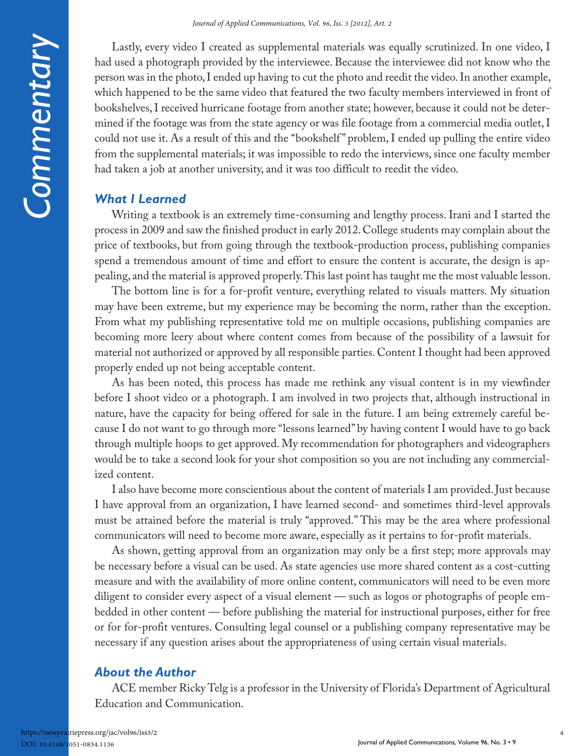Lastly, every video I created as supplemental materials was equally scrutinized. In one video, I had used a photograph provided by the interviewee. Because the interviewee did not know who the person was in the photo, I ended up having to cut the photo and reedit the video. In another example, which happened to be the same video that featured the two faculty members interviewed in front of bookshelves, I received hurricane footage from another state; however, because it could not be determined if the footage was from the state agency or was file footage from a commercial media outlet, I could not use it. As a result of this and the "bookshelf " problem, I ended up pulling the entire video from the supplemental materials; it was impossible to redo the interviews, since one faculty member had taken a job at another university, and it was too difficult to reedit the video.

### *What I Learned*

Writing a textbook is an extremely time-consuming and lengthy process. Irani and I started the process in 2009 and saw the finished product in early 2012. College students may complain about the price of textbooks, but from going through the textbook-production process, publishing companies spend a tremendous amount of time and effort to ensure the content is accurate, the design is appealing, and the material is approved properly. This last point has taught me the most valuable lesson.

The bottom line is for a for-profit venture, everything related to visuals matters. My situation may have been extreme, but my experience may be becoming the norm, rather than the exception. From what my publishing representative told me on multiple occasions, publishing companies are becoming more leery about where content comes from because of the possibility of a lawsuit for material not authorized or approved by all responsible parties. Content I thought had been approved properly ended up not being acceptable content.

As has been noted, this process has made me rethink any visual content is in my viewfinder before I shoot video or a photograph. I am involved in two projects that, although instructional in nature, have the capacity for being offered for sale in the future. I am being extremely careful because I do not want to go through more "lessons learned" by having content I would have to go back through multiple hoops to get approved. My recommendation for photographers and videographers would be to take a second look for your shot composition so you are not including any commercialized content.

I also have become more conscientious about the content of materials I am provided. Just because I have approval from an organization, I have learned second- and sometimes third-level approvals must be attained before the material is truly "approved." This may be the area where professional communicators will need to become more aware, especially as it pertains to for-profit materials.

As shown, getting approval from an organization may only be a first step; more approvals may be necessary before a visual can be used. As state agencies use more shared content as a cost-cutting measure and with the availability of more online content, communicators will need to be even more diligent to consider every aspect of a visual element — such as logos or photographs of people embedded in other content — before publishing the material for instructional purposes, either for free or for for-profit ventures. Consulting legal counsel or a publishing company representative may be necessary if any question arises about the appropriateness of using certain visual materials.

#### *About the Author*

ACE member Ricky Telg is a professor in the University of Florida's Department of Agricultural Education and Communication.